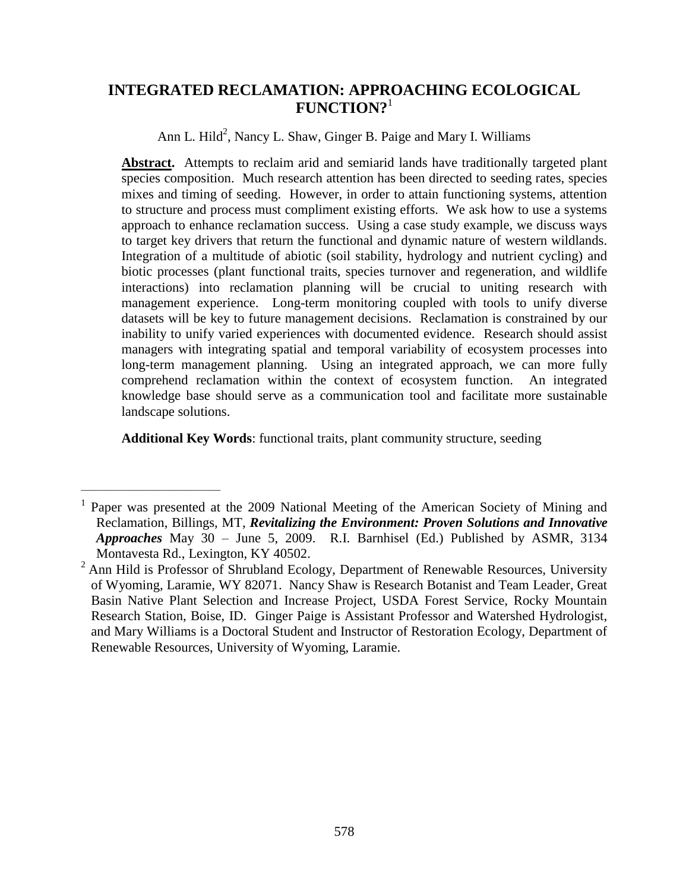# **INTEGRATED RECLAMATION: APPROACHING ECOLOGICAL FUNCTION?**<sup>1</sup>

Ann L. Hild<sup>2</sup>, Nancy L. Shaw, Ginger B. Paige and Mary I. Williams

**Abstract.** Attempts to reclaim arid and semiarid lands have traditionally targeted plant species composition. Much research attention has been directed to seeding rates, species mixes and timing of seeding. However, in order to attain functioning systems, attention to structure and process must compliment existing efforts. We ask how to use a systems approach to enhance reclamation success. Using a case study example, we discuss ways to target key drivers that return the functional and dynamic nature of western wildlands. Integration of a multitude of abiotic (soil stability, hydrology and nutrient cycling) and biotic processes (plant functional traits, species turnover and regeneration, and wildlife interactions) into reclamation planning will be crucial to uniting research with management experience. Long-term monitoring coupled with tools to unify diverse datasets will be key to future management decisions. Reclamation is constrained by our inability to unify varied experiences with documented evidence. Research should assist managers with integrating spatial and temporal variability of ecosystem processes into long-term management planning. Using an integrated approach, we can more fully comprehend reclamation within the context of ecosystem function. An integrated knowledge base should serve as a communication tool and facilitate more sustainable landscape solutions.

**Additional Key Words**: functional traits, plant community structure, seeding

\_\_\_\_\_\_\_\_\_\_\_\_\_\_\_\_\_\_\_\_\_\_\_\_\_\_\_\_\_\_\_

<sup>&</sup>lt;sup>1</sup> Paper was presented at the 2009 National Meeting of the American Society of Mining and Reclamation, Billings, MT, *Revitalizing the Environment: Proven Solutions and Innovative Approaches* May 30 – June 5, 2009. R.I. Barnhisel (Ed.) Published by ASMR, 3134 Montavesta Rd., Lexington, KY 40502.

<sup>&</sup>lt;sup>2</sup> Ann Hild is Professor of Shrubland Ecology, Department of Renewable Resources, University of Wyoming, Laramie, WY 82071. Nancy Shaw is Research Botanist and Team Leader, Great Basin Native Plant Selection and Increase Project, USDA Forest Service, Rocky Mountain Research Station, Boise, ID. Ginger Paige is Assistant Professor and Watershed Hydrologist, and Mary Williams is a Doctoral Student and Instructor of Restoration Ecology, Department of Renewable Resources, University of Wyoming, Laramie.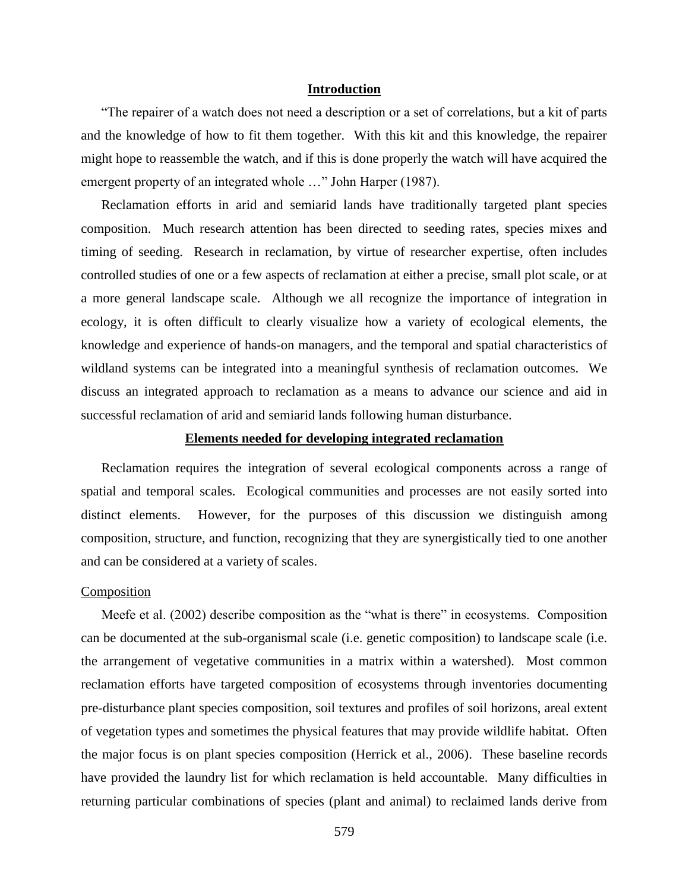### **Introduction**

"The repairer of a watch does not need a description or a set of correlations, but a kit of parts and the knowledge of how to fit them together. With this kit and this knowledge, the repairer might hope to reassemble the watch, and if this is done properly the watch will have acquired the emergent property of an integrated whole …" John Harper (1987).

Reclamation efforts in arid and semiarid lands have traditionally targeted plant species composition. Much research attention has been directed to seeding rates, species mixes and timing of seeding. Research in reclamation, by virtue of researcher expertise, often includes controlled studies of one or a few aspects of reclamation at either a precise, small plot scale, or at a more general landscape scale. Although we all recognize the importance of integration in ecology, it is often difficult to clearly visualize how a variety of ecological elements, the knowledge and experience of hands-on managers, and the temporal and spatial characteristics of wildland systems can be integrated into a meaningful synthesis of reclamation outcomes. We discuss an integrated approach to reclamation as a means to advance our science and aid in successful reclamation of arid and semiarid lands following human disturbance.

# **Elements needed for developing integrated reclamation**

Reclamation requires the integration of several ecological components across a range of spatial and temporal scales. Ecological communities and processes are not easily sorted into distinct elements. However, for the purposes of this discussion we distinguish among composition, structure, and function, recognizing that they are synergistically tied to one another and can be considered at a variety of scales.

### Composition

Meefe et al. (2002) describe composition as the "what is there" in ecosystems. Composition can be documented at the sub-organismal scale (i.e. genetic composition) to landscape scale (i.e. the arrangement of vegetative communities in a matrix within a watershed). Most common reclamation efforts have targeted composition of ecosystems through inventories documenting pre-disturbance plant species composition, soil textures and profiles of soil horizons, areal extent of vegetation types and sometimes the physical features that may provide wildlife habitat. Often the major focus is on plant species composition (Herrick et al., 2006). These baseline records have provided the laundry list for which reclamation is held accountable. Many difficulties in returning particular combinations of species (plant and animal) to reclaimed lands derive from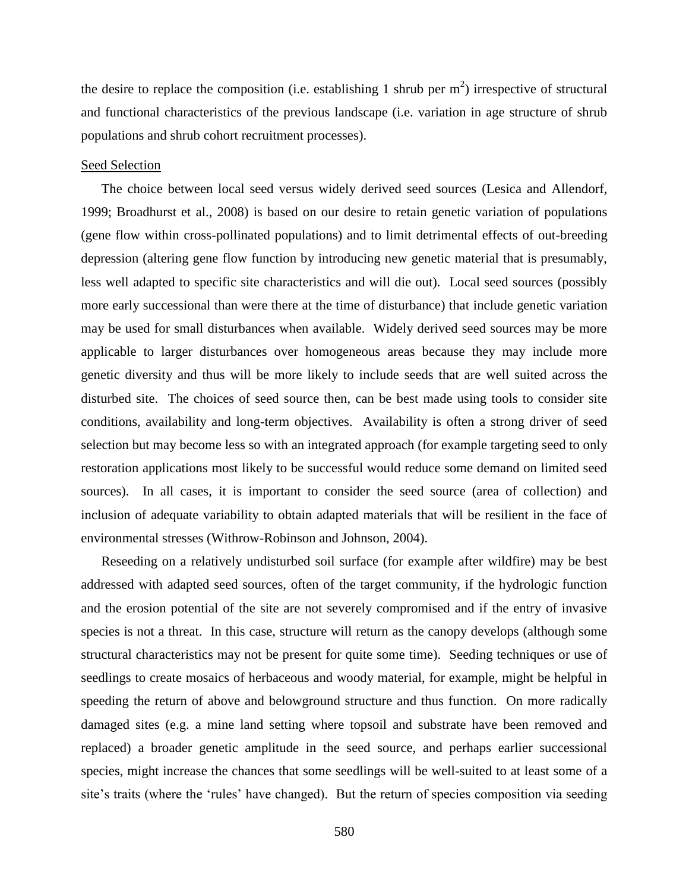the desire to replace the composition (i.e. establishing 1 shrub per  $m<sup>2</sup>$ ) irrespective of structural and functional characteristics of the previous landscape (i.e. variation in age structure of shrub populations and shrub cohort recruitment processes).

### Seed Selection

The choice between local seed versus widely derived seed sources (Lesica and Allendorf, 1999; Broadhurst et al., 2008) is based on our desire to retain genetic variation of populations (gene flow within cross-pollinated populations) and to limit detrimental effects of out-breeding depression (altering gene flow function by introducing new genetic material that is presumably, less well adapted to specific site characteristics and will die out). Local seed sources (possibly more early successional than were there at the time of disturbance) that include genetic variation may be used for small disturbances when available. Widely derived seed sources may be more applicable to larger disturbances over homogeneous areas because they may include more genetic diversity and thus will be more likely to include seeds that are well suited across the disturbed site. The choices of seed source then, can be best made using tools to consider site conditions, availability and long-term objectives. Availability is often a strong driver of seed selection but may become less so with an integrated approach (for example targeting seed to only restoration applications most likely to be successful would reduce some demand on limited seed sources). In all cases, it is important to consider the seed source (area of collection) and inclusion of adequate variability to obtain adapted materials that will be resilient in the face of environmental stresses (Withrow-Robinson and Johnson, 2004).

Reseeding on a relatively undisturbed soil surface (for example after wildfire) may be best addressed with adapted seed sources, often of the target community, if the hydrologic function and the erosion potential of the site are not severely compromised and if the entry of invasive species is not a threat. In this case, structure will return as the canopy develops (although some structural characteristics may not be present for quite some time). Seeding techniques or use of seedlings to create mosaics of herbaceous and woody material, for example, might be helpful in speeding the return of above and belowground structure and thus function. On more radically damaged sites (e.g. a mine land setting where topsoil and substrate have been removed and replaced) a broader genetic amplitude in the seed source, and perhaps earlier successional species, might increase the chances that some seedlings will be well-suited to at least some of a site's traits (where the 'rules' have changed). But the return of species composition via seeding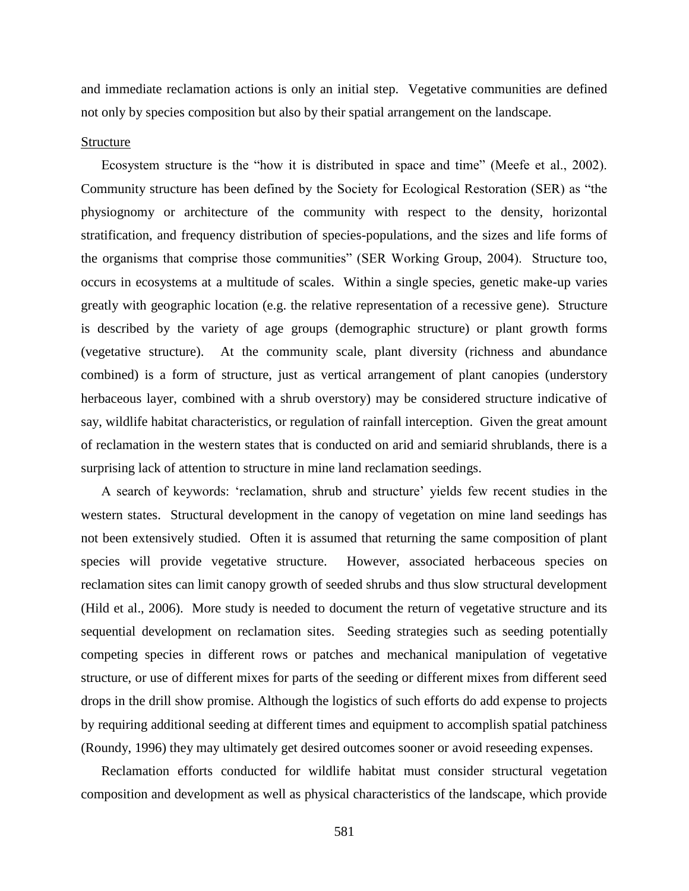and immediate reclamation actions is only an initial step. Vegetative communities are defined not only by species composition but also by their spatial arrangement on the landscape.

### Structure

Ecosystem structure is the "how it is distributed in space and time" (Meefe et al., 2002). Community structure has been defined by the Society for Ecological Restoration (SER) as "the physiognomy or architecture of the community with respect to the density, horizontal stratification, and frequency distribution of species-populations, and the sizes and life forms of the organisms that comprise those communities" (SER Working Group, 2004). Structure too, occurs in ecosystems at a multitude of scales. Within a single species, genetic make-up varies greatly with geographic location (e.g. the relative representation of a recessive gene). Structure is described by the variety of age groups (demographic structure) or plant growth forms (vegetative structure). At the community scale, plant diversity (richness and abundance combined) is a form of structure, just as vertical arrangement of plant canopies (understory herbaceous layer, combined with a shrub overstory) may be considered structure indicative of say, wildlife habitat characteristics, or regulation of rainfall interception. Given the great amount of reclamation in the western states that is conducted on arid and semiarid shrublands, there is a surprising lack of attention to structure in mine land reclamation seedings.

A search of keywords: 'reclamation, shrub and structure' yields few recent studies in the western states. Structural development in the canopy of vegetation on mine land seedings has not been extensively studied. Often it is assumed that returning the same composition of plant species will provide vegetative structure. However, associated herbaceous species on reclamation sites can limit canopy growth of seeded shrubs and thus slow structural development (Hild et al., 2006). More study is needed to document the return of vegetative structure and its sequential development on reclamation sites. Seeding strategies such as seeding potentially competing species in different rows or patches and mechanical manipulation of vegetative structure, or use of different mixes for parts of the seeding or different mixes from different seed drops in the drill show promise. Although the logistics of such efforts do add expense to projects by requiring additional seeding at different times and equipment to accomplish spatial patchiness (Roundy, 1996) they may ultimately get desired outcomes sooner or avoid reseeding expenses.

Reclamation efforts conducted for wildlife habitat must consider structural vegetation composition and development as well as physical characteristics of the landscape, which provide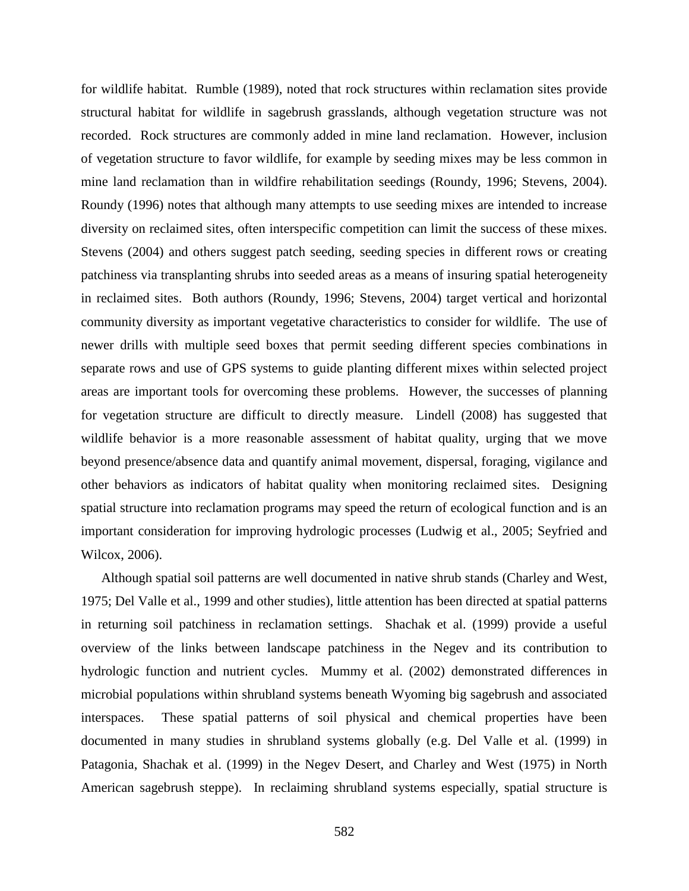for wildlife habitat. Rumble (1989), noted that rock structures within reclamation sites provide structural habitat for wildlife in sagebrush grasslands, although vegetation structure was not recorded. Rock structures are commonly added in mine land reclamation. However, inclusion of vegetation structure to favor wildlife, for example by seeding mixes may be less common in mine land reclamation than in wildfire rehabilitation seedings (Roundy, 1996; Stevens, 2004). Roundy (1996) notes that although many attempts to use seeding mixes are intended to increase diversity on reclaimed sites, often interspecific competition can limit the success of these mixes. Stevens (2004) and others suggest patch seeding, seeding species in different rows or creating patchiness via transplanting shrubs into seeded areas as a means of insuring spatial heterogeneity in reclaimed sites. Both authors (Roundy, 1996; Stevens, 2004) target vertical and horizontal community diversity as important vegetative characteristics to consider for wildlife. The use of newer drills with multiple seed boxes that permit seeding different species combinations in separate rows and use of GPS systems to guide planting different mixes within selected project areas are important tools for overcoming these problems. However, the successes of planning for vegetation structure are difficult to directly measure. Lindell (2008) has suggested that wildlife behavior is a more reasonable assessment of habitat quality, urging that we move beyond presence/absence data and quantify animal movement, dispersal, foraging, vigilance and other behaviors as indicators of habitat quality when monitoring reclaimed sites. Designing spatial structure into reclamation programs may speed the return of ecological function and is an important consideration for improving hydrologic processes (Ludwig et al., 2005; Seyfried and Wilcox, 2006).

Although spatial soil patterns are well documented in native shrub stands (Charley and West, 1975; Del Valle et al., 1999 and other studies), little attention has been directed at spatial patterns in returning soil patchiness in reclamation settings. Shachak et al. (1999) provide a useful overview of the links between landscape patchiness in the Negev and its contribution to hydrologic function and nutrient cycles. Mummy et al. (2002) demonstrated differences in microbial populations within shrubland systems beneath Wyoming big sagebrush and associated interspaces. These spatial patterns of soil physical and chemical properties have been documented in many studies in shrubland systems globally (e.g. Del Valle et al. (1999) in Patagonia, Shachak et al. (1999) in the Negev Desert, and Charley and West (1975) in North American sagebrush steppe). In reclaiming shrubland systems especially, spatial structure is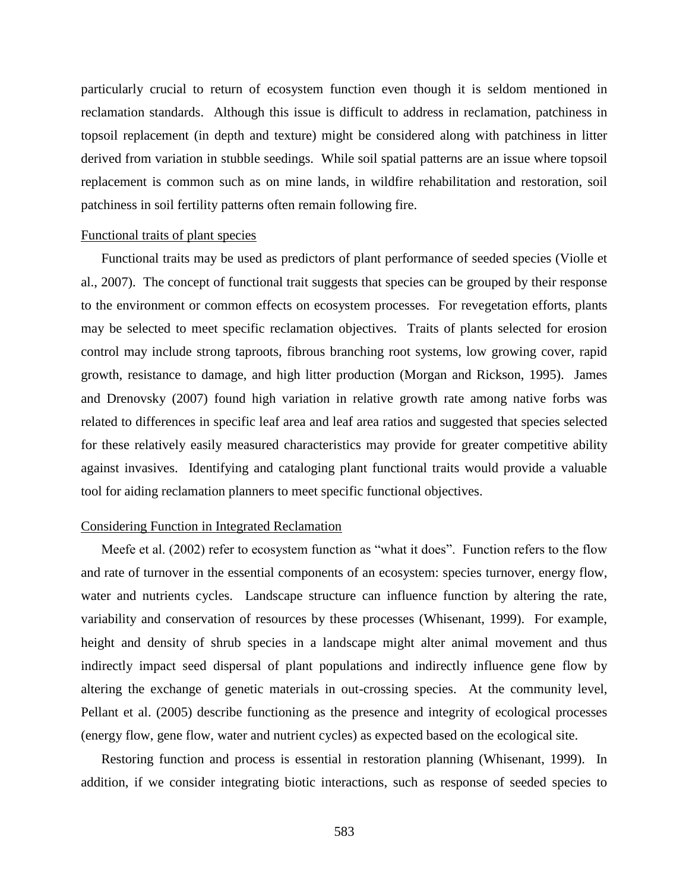particularly crucial to return of ecosystem function even though it is seldom mentioned in reclamation standards. Although this issue is difficult to address in reclamation, patchiness in topsoil replacement (in depth and texture) might be considered along with patchiness in litter derived from variation in stubble seedings. While soil spatial patterns are an issue where topsoil replacement is common such as on mine lands, in wildfire rehabilitation and restoration, soil patchiness in soil fertility patterns often remain following fire.

# Functional traits of plant species

Functional traits may be used as predictors of plant performance of seeded species (Violle et al., 2007). The concept of functional trait suggests that species can be grouped by their response to the environment or common effects on ecosystem processes. For revegetation efforts, plants may be selected to meet specific reclamation objectives. Traits of plants selected for erosion control may include strong taproots, fibrous branching root systems, low growing cover, rapid growth, resistance to damage, and high litter production (Morgan and Rickson, 1995). James and Drenovsky (2007) found high variation in relative growth rate among native forbs was related to differences in specific leaf area and leaf area ratios and suggested that species selected for these relatively easily measured characteristics may provide for greater competitive ability against invasives. Identifying and cataloging plant functional traits would provide a valuable tool for aiding reclamation planners to meet specific functional objectives.

### Considering Function in Integrated Reclamation

Meefe et al. (2002) refer to ecosystem function as "what it does". Function refers to the flow and rate of turnover in the essential components of an ecosystem: species turnover, energy flow, water and nutrients cycles. Landscape structure can influence function by altering the rate, variability and conservation of resources by these processes (Whisenant, 1999). For example, height and density of shrub species in a landscape might alter animal movement and thus indirectly impact seed dispersal of plant populations and indirectly influence gene flow by altering the exchange of genetic materials in out-crossing species. At the community level, Pellant et al. (2005) describe functioning as the presence and integrity of ecological processes (energy flow, gene flow, water and nutrient cycles) as expected based on the ecological site.

Restoring function and process is essential in restoration planning (Whisenant, 1999). In addition, if we consider integrating biotic interactions, such as response of seeded species to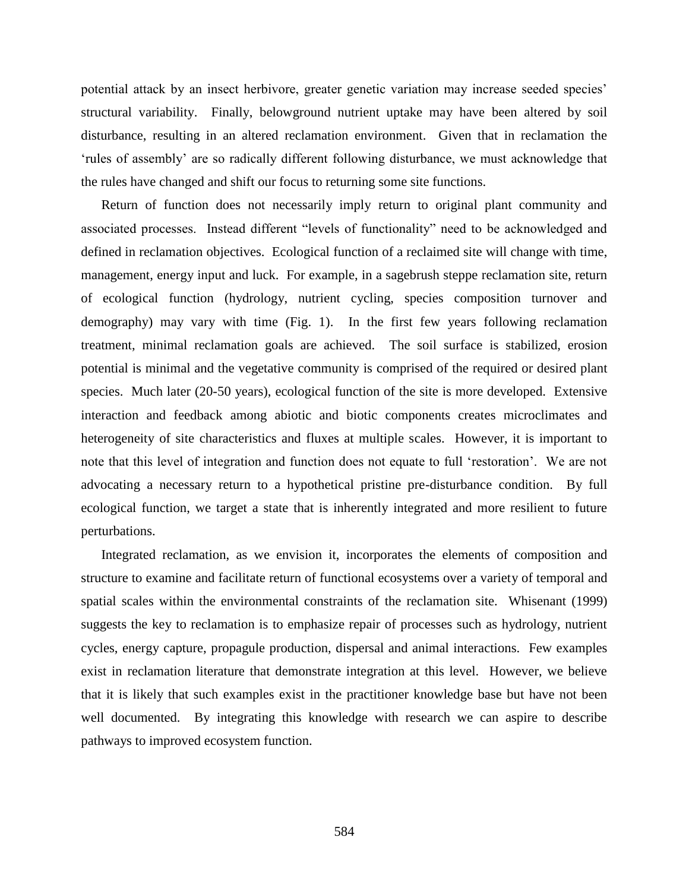potential attack by an insect herbivore, greater genetic variation may increase seeded species" structural variability. Finally, belowground nutrient uptake may have been altered by soil disturbance, resulting in an altered reclamation environment. Given that in reclamation the "rules of assembly" are so radically different following disturbance, we must acknowledge that the rules have changed and shift our focus to returning some site functions.

Return of function does not necessarily imply return to original plant community and associated processes. Instead different "levels of functionality" need to be acknowledged and defined in reclamation objectives. Ecological function of a reclaimed site will change with time, management, energy input and luck. For example, in a sagebrush steppe reclamation site, return of ecological function (hydrology, nutrient cycling, species composition turnover and demography) may vary with time (Fig. 1). In the first few years following reclamation treatment, minimal reclamation goals are achieved. The soil surface is stabilized, erosion potential is minimal and the vegetative community is comprised of the required or desired plant species. Much later (20-50 years), ecological function of the site is more developed. Extensive interaction and feedback among abiotic and biotic components creates microclimates and heterogeneity of site characteristics and fluxes at multiple scales. However, it is important to note that this level of integration and function does not equate to full "restoration". We are not advocating a necessary return to a hypothetical pristine pre-disturbance condition. By full ecological function, we target a state that is inherently integrated and more resilient to future perturbations.

Integrated reclamation, as we envision it, incorporates the elements of composition and structure to examine and facilitate return of functional ecosystems over a variety of temporal and spatial scales within the environmental constraints of the reclamation site. Whisenant (1999) suggests the key to reclamation is to emphasize repair of processes such as hydrology, nutrient cycles, energy capture, propagule production, dispersal and animal interactions. Few examples exist in reclamation literature that demonstrate integration at this level. However, we believe that it is likely that such examples exist in the practitioner knowledge base but have not been well documented. By integrating this knowledge with research we can aspire to describe pathways to improved ecosystem function.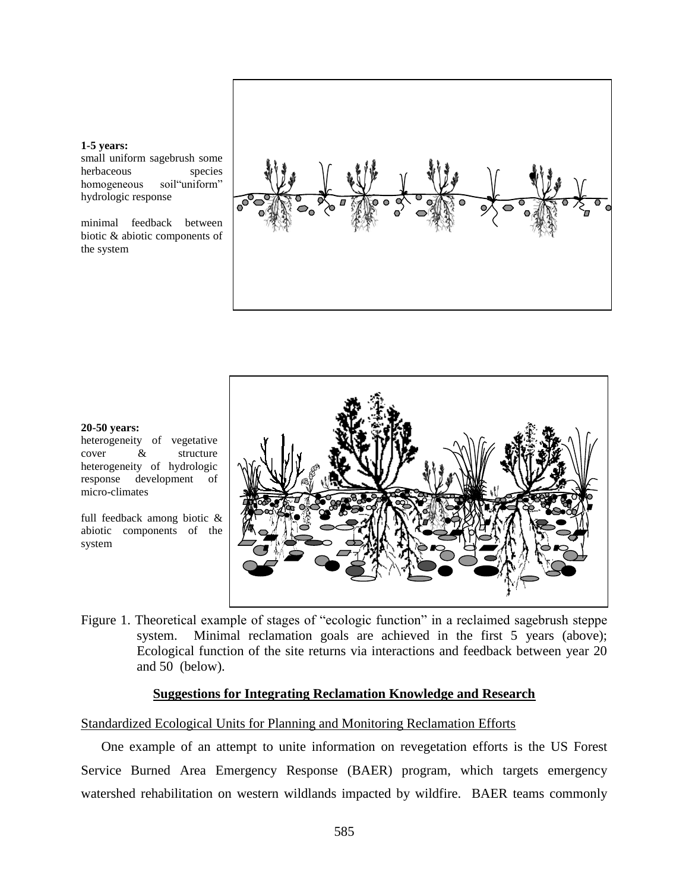### **1-5 years:**

small uniform sagebrush some herbaceous species homogeneous soil"uniform" hydrologic response

minimal feedback between biotic & abiotic components of the system





#### **20-50 years:**

heterogeneity of vegetative cover & structure heterogeneity of hydrologic response development of micro-climates

full feedback among biotic & abiotic components of the system

Figure 1. Theoretical example of stages of "ecologic function" in a reclaimed sagebrush steppe system. Minimal reclamation goals are achieved in the first 5 years (above); Ecological function of the site returns via interactions and feedback between year 20 and 50 (below).

# **Suggestions for Integrating Reclamation Knowledge and Research**

# Standardized Ecological Units for Planning and Monitoring Reclamation Efforts

One example of an attempt to unite information on revegetation efforts is the US Forest Service Burned Area Emergency Response (BAER) program, which targets emergency watershed rehabilitation on western wildlands impacted by wildfire. BAER teams commonly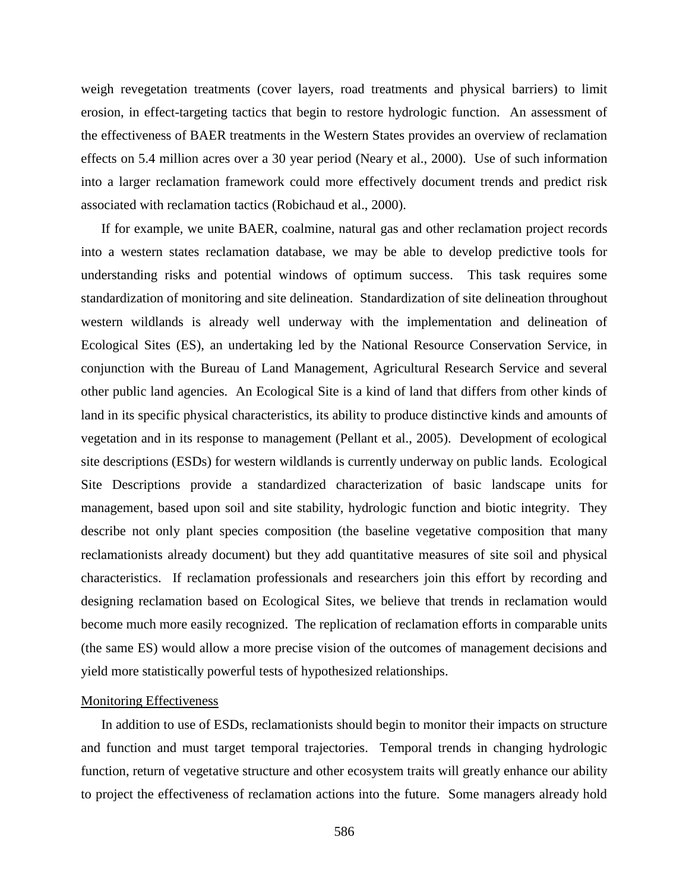weigh revegetation treatments (cover layers, road treatments and physical barriers) to limit erosion, in effect-targeting tactics that begin to restore hydrologic function. An assessment of the effectiveness of BAER treatments in the Western States provides an overview of reclamation effects on 5.4 million acres over a 30 year period (Neary et al., 2000). Use of such information into a larger reclamation framework could more effectively document trends and predict risk associated with reclamation tactics (Robichaud et al., 2000).

If for example, we unite BAER, coalmine, natural gas and other reclamation project records into a western states reclamation database, we may be able to develop predictive tools for understanding risks and potential windows of optimum success. This task requires some standardization of monitoring and site delineation. Standardization of site delineation throughout western wildlands is already well underway with the implementation and delineation of Ecological Sites (ES), an undertaking led by the National Resource Conservation Service, in conjunction with the Bureau of Land Management, Agricultural Research Service and several other public land agencies. An Ecological Site is a kind of land that differs from other kinds of land in its specific physical characteristics, its ability to produce distinctive kinds and amounts of vegetation and in its response to management (Pellant et al., 2005). Development of ecological site descriptions (ESDs) for western wildlands is currently underway on public lands. Ecological Site Descriptions provide a standardized characterization of basic landscape units for management, based upon soil and site stability, hydrologic function and biotic integrity. They describe not only plant species composition (the baseline vegetative composition that many reclamationists already document) but they add quantitative measures of site soil and physical characteristics. If reclamation professionals and researchers join this effort by recording and designing reclamation based on Ecological Sites, we believe that trends in reclamation would become much more easily recognized. The replication of reclamation efforts in comparable units (the same ES) would allow a more precise vision of the outcomes of management decisions and yield more statistically powerful tests of hypothesized relationships.

# Monitoring Effectiveness

In addition to use of ESDs, reclamationists should begin to monitor their impacts on structure and function and must target temporal trajectories. Temporal trends in changing hydrologic function, return of vegetative structure and other ecosystem traits will greatly enhance our ability to project the effectiveness of reclamation actions into the future. Some managers already hold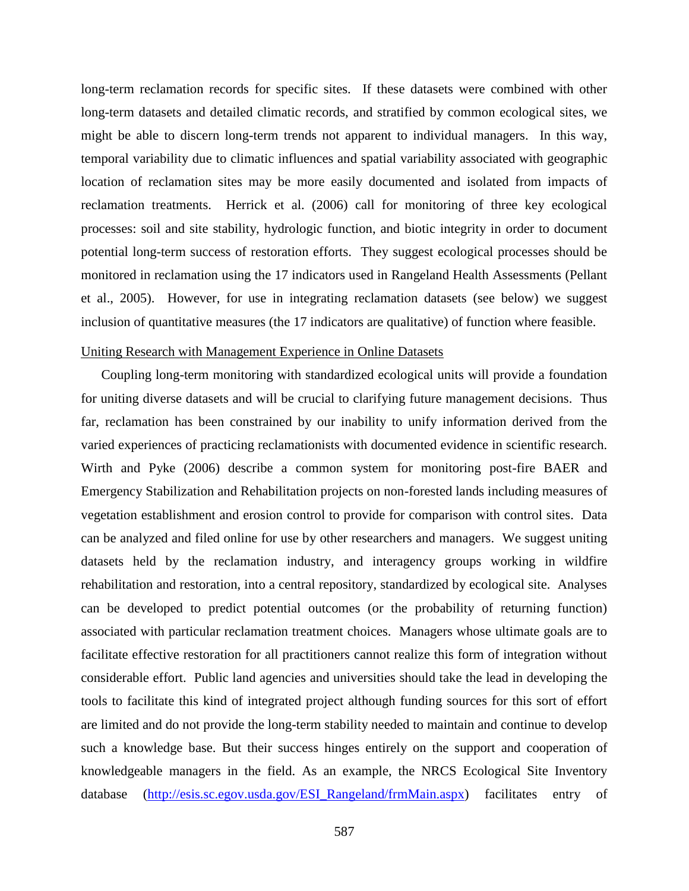long-term reclamation records for specific sites. If these datasets were combined with other long-term datasets and detailed climatic records, and stratified by common ecological sites, we might be able to discern long-term trends not apparent to individual managers. In this way, temporal variability due to climatic influences and spatial variability associated with geographic location of reclamation sites may be more easily documented and isolated from impacts of reclamation treatments. Herrick et al. (2006) call for monitoring of three key ecological processes: soil and site stability, hydrologic function, and biotic integrity in order to document potential long-term success of restoration efforts. They suggest ecological processes should be monitored in reclamation using the 17 indicators used in Rangeland Health Assessments (Pellant et al., 2005). However, for use in integrating reclamation datasets (see below) we suggest inclusion of quantitative measures (the 17 indicators are qualitative) of function where feasible.

### Uniting Research with Management Experience in Online Datasets

Coupling long-term monitoring with standardized ecological units will provide a foundation for uniting diverse datasets and will be crucial to clarifying future management decisions. Thus far, reclamation has been constrained by our inability to unify information derived from the varied experiences of practicing reclamationists with documented evidence in scientific research. Wirth and Pyke (2006) describe a common system for monitoring post-fire BAER and Emergency Stabilization and Rehabilitation projects on non-forested lands including measures of vegetation establishment and erosion control to provide for comparison with control sites. Data can be analyzed and filed online for use by other researchers and managers. We suggest uniting datasets held by the reclamation industry, and interagency groups working in wildfire rehabilitation and restoration, into a central repository, standardized by ecological site. Analyses can be developed to predict potential outcomes (or the probability of returning function) associated with particular reclamation treatment choices. Managers whose ultimate goals are to facilitate effective restoration for all practitioners cannot realize this form of integration without considerable effort. Public land agencies and universities should take the lead in developing the tools to facilitate this kind of integrated project although funding sources for this sort of effort are limited and do not provide the long-term stability needed to maintain and continue to develop such a knowledge base. But their success hinges entirely on the support and cooperation of knowledgeable managers in the field. As an example, the NRCS Ecological Site Inventory database [\(http://esis.sc.egov.usda.gov/ESI\\_Rangeland/frmMain.aspx\)](http://esis.sc.egov.usda.gov/ESI_Rangeland/frmMain.aspx) facilitates entry of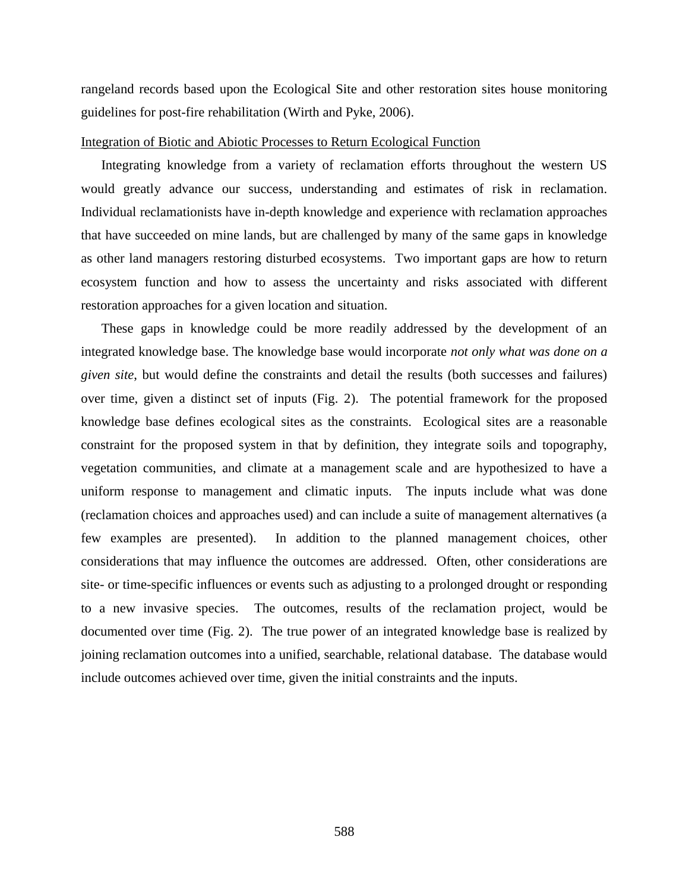rangeland records based upon the Ecological Site and other restoration sites house monitoring guidelines for post-fire rehabilitation (Wirth and Pyke, 2006).

# Integration of Biotic and Abiotic Processes to Return Ecological Function

Integrating knowledge from a variety of reclamation efforts throughout the western US would greatly advance our success, understanding and estimates of risk in reclamation. Individual reclamationists have in-depth knowledge and experience with reclamation approaches that have succeeded on mine lands, but are challenged by many of the same gaps in knowledge as other land managers restoring disturbed ecosystems. Two important gaps are how to return ecosystem function and how to assess the uncertainty and risks associated with different restoration approaches for a given location and situation.

These gaps in knowledge could be more readily addressed by the development of an integrated knowledge base. The knowledge base would incorporate *not only what was done on a given site*, but would define the constraints and detail the results (both successes and failures) over time, given a distinct set of inputs (Fig. 2). The potential framework for the proposed knowledge base defines ecological sites as the constraints. Ecological sites are a reasonable constraint for the proposed system in that by definition, they integrate soils and topography, vegetation communities, and climate at a management scale and are hypothesized to have a uniform response to management and climatic inputs. The inputs include what was done (reclamation choices and approaches used) and can include a suite of management alternatives (a few examples are presented). In addition to the planned management choices, other considerations that may influence the outcomes are addressed. Often, other considerations are site- or time-specific influences or events such as adjusting to a prolonged drought or responding to a new invasive species. The outcomes, results of the reclamation project, would be documented over time (Fig. 2). The true power of an integrated knowledge base is realized by joining reclamation outcomes into a unified, searchable, relational database. The database would include outcomes achieved over time, given the initial constraints and the inputs.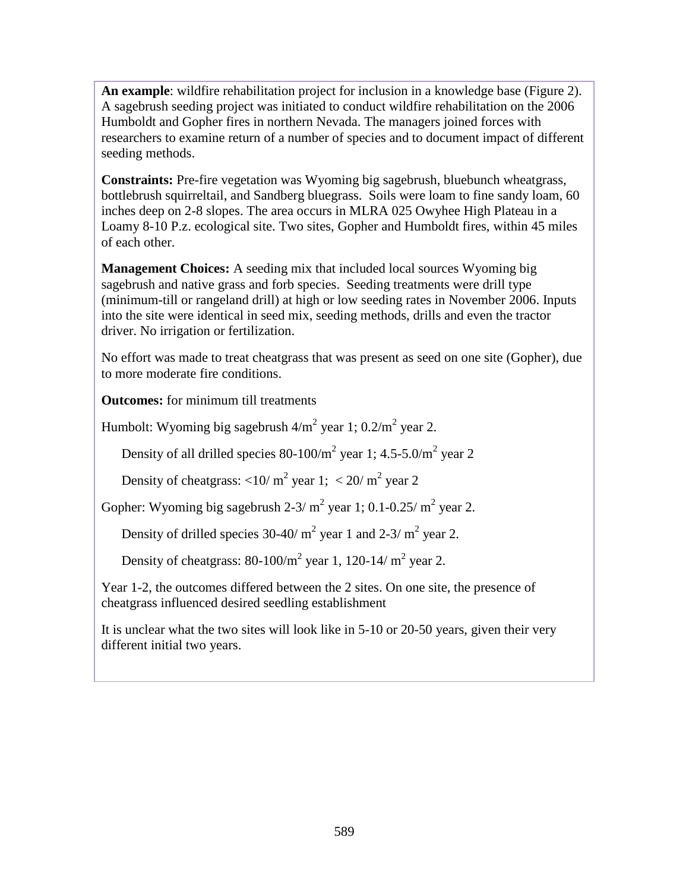**An example**: wildfire rehabilitation project for inclusion in a knowledge base (Figure 2). A sagebrush seeding project was initiated to conduct wildfire rehabilitation on the 2006 Humboldt and Gopher fires in northern Nevada. The managers joined forces with researchers to examine return of a number of species and to document impact of different seeding methods.

**Constraints:** Pre-fire vegetation was Wyoming big sagebrush, bluebunch wheatgrass, bottlebrush squirreltail, and Sandberg bluegrass. Soils were loam to fine sandy loam, 60 inches deep on 2-8 slopes. The area occurs in MLRA 025 Owyhee High Plateau in a Loamy 8-10 P.z. ecological site. Two sites, Gopher and Humboldt fires, within 45 miles of each other.

**Management Choices:** A seeding mix that included local sources Wyoming big sagebrush and native grass and forb species. Seeding treatments were drill type (minimum-till or rangeland drill) at high or low seeding rates in November 2006. Inputs into the site were identical in seed mix, seeding methods, drills and even the tractor driver. No irrigation or fertilization.

No effort was made to treat cheatgrass that was present as seed on one site (Gopher), due to more moderate fire conditions.

**Outcomes:** for minimum till treatments

Humbolt: Wyoming big sagebrush  $4/m^2$  year 1;  $0.2/m^2$  year 2.

Density of all drilled species 80-100/ $m^2$  year 1; 4.5-5.0/ $m^2$  year 2

Density of cheatgrass:  $\langle 10/m^2 \rangle$  year 1;  $\langle 20/m^2 \rangle$  year 2

Gopher: Wyoming big sagebrush 2-3/ $m^2$  year 1; 0.1-0.25/ $m^2$  year 2.

Density of drilled species 30-40/  $m^2$  year 1 and 2-3/  $m^2$  year 2.

Density of cheatgrass:  $80-100/m^2$  year 1, 120-14/m<sup>2</sup> year 2.

Year 1-2, the outcomes differed between the 2 sites. On one site, the presence of cheatgrass influenced desired seedling establishment

It is unclear what the two sites will look like in 5-10 or 20-50 years, given their very different initial two years.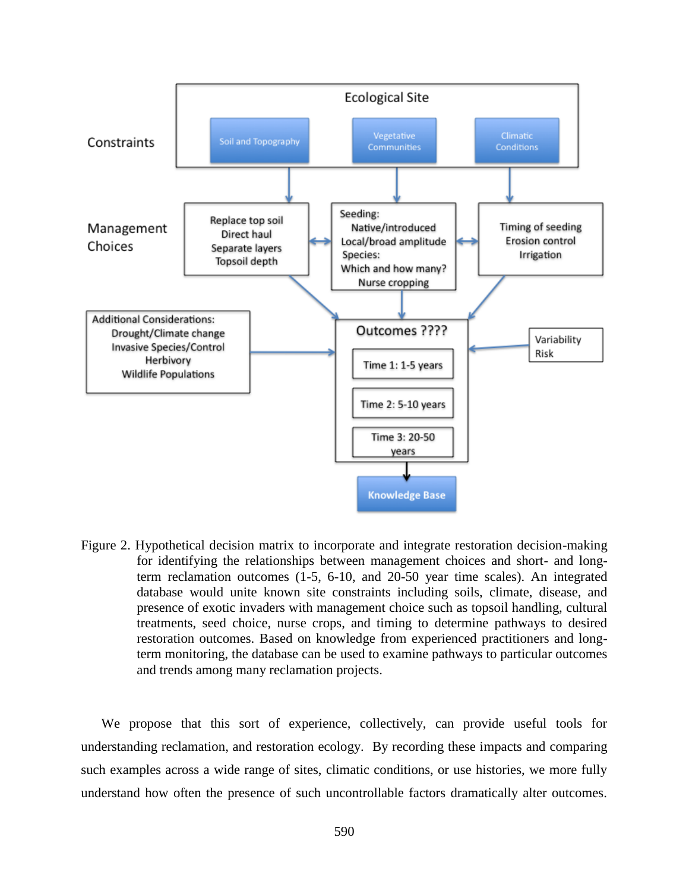

Figure 2. Hypothetical decision matrix to incorporate and integrate restoration decision-making for identifying the relationships between management choices and short- and longterm reclamation outcomes (1-5, 6-10, and 20-50 year time scales). An integrated database would unite known site constraints including soils, climate, disease, and presence of exotic invaders with management choice such as topsoil handling, cultural treatments, seed choice, nurse crops, and timing to determine pathways to desired restoration outcomes. Based on knowledge from experienced practitioners and longterm monitoring, the database can be used to examine pathways to particular outcomes and trends among many reclamation projects.

We propose that this sort of experience, collectively, can provide useful tools for understanding reclamation, and restoration ecology. By recording these impacts and comparing such examples across a wide range of sites, climatic conditions, or use histories, we more fully understand how often the presence of such uncontrollable factors dramatically alter outcomes.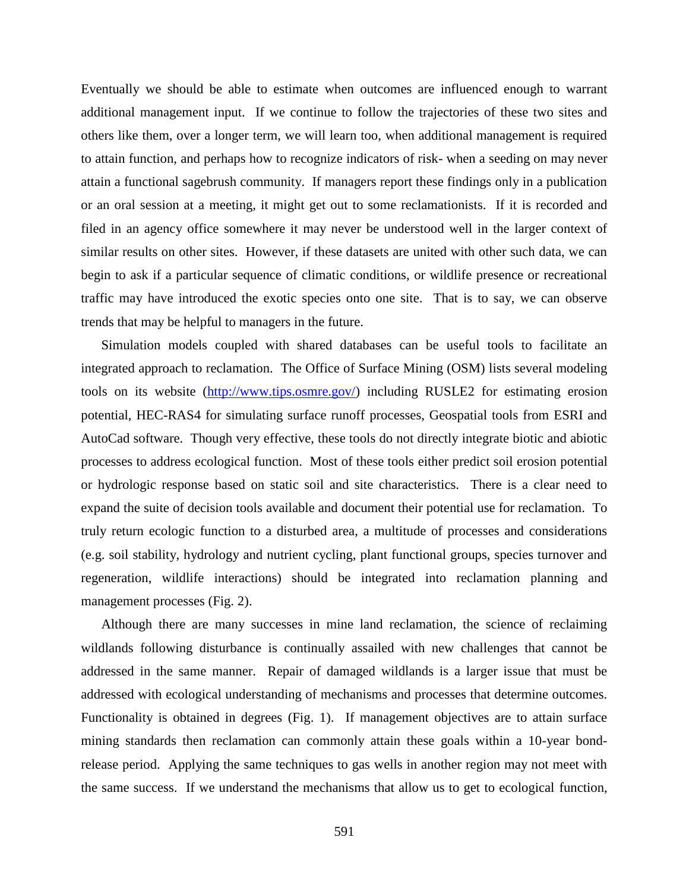Eventually we should be able to estimate when outcomes are influenced enough to warrant additional management input. If we continue to follow the trajectories of these two sites and others like them, over a longer term, we will learn too, when additional management is required to attain function, and perhaps how to recognize indicators of risk- when a seeding on may never attain a functional sagebrush community. If managers report these findings only in a publication or an oral session at a meeting, it might get out to some reclamationists. If it is recorded and filed in an agency office somewhere it may never be understood well in the larger context of similar results on other sites. However, if these datasets are united with other such data, we can begin to ask if a particular sequence of climatic conditions, or wildlife presence or recreational traffic may have introduced the exotic species onto one site. That is to say, we can observe trends that may be helpful to managers in the future.

Simulation models coupled with shared databases can be useful tools to facilitate an integrated approach to reclamation. The Office of Surface Mining (OSM) lists several modeling tools on its website [\(http://www.tips.osmre.gov/\)](http://www.tips.osmre.gov/) including RUSLE2 for estimating erosion potential, HEC-RAS4 for simulating surface runoff processes, Geospatial tools from ESRI and AutoCad software. Though very effective, these tools do not directly integrate biotic and abiotic processes to address ecological function. Most of these tools either predict soil erosion potential or hydrologic response based on static soil and site characteristics. There is a clear need to expand the suite of decision tools available and document their potential use for reclamation. To truly return ecologic function to a disturbed area, a multitude of processes and considerations (e.g. soil stability, hydrology and nutrient cycling, plant functional groups, species turnover and regeneration, wildlife interactions) should be integrated into reclamation planning and management processes (Fig. 2).

Although there are many successes in mine land reclamation, the science of reclaiming wildlands following disturbance is continually assailed with new challenges that cannot be addressed in the same manner. Repair of damaged wildlands is a larger issue that must be addressed with ecological understanding of mechanisms and processes that determine outcomes. Functionality is obtained in degrees (Fig. 1). If management objectives are to attain surface mining standards then reclamation can commonly attain these goals within a 10-year bondrelease period. Applying the same techniques to gas wells in another region may not meet with the same success. If we understand the mechanisms that allow us to get to ecological function,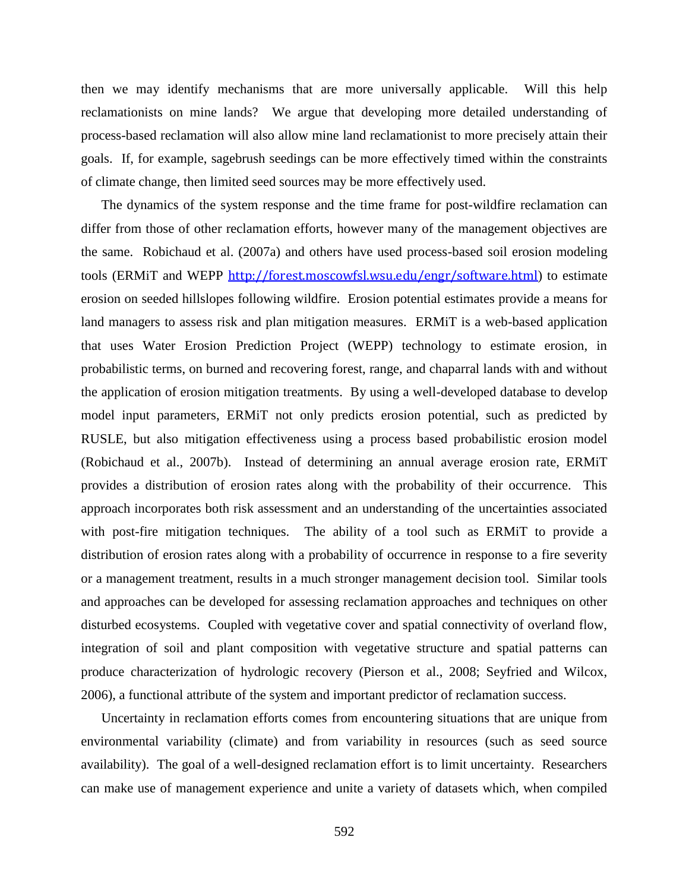then we may identify mechanisms that are more universally applicable. Will this help reclamationists on mine lands? We argue that developing more detailed understanding of process-based reclamation will also allow mine land reclamationist to more precisely attain their goals. If, for example, sagebrush seedings can be more effectively timed within the constraints of climate change, then limited seed sources may be more effectively used.

The dynamics of the system response and the time frame for post-wildfire reclamation can differ from those of other reclamation efforts, however many of the management objectives are the same. Robichaud et al. (2007a) and others have used process-based soil erosion modeling tools (ERMiT and WEPP http://forest.moscowfsl.wsu.edu/engr/software.html) to estimate erosion on seeded hillslopes following wildfire. Erosion potential estimates provide a means for land managers to assess risk and plan mitigation measures. ERMiT is a web-based application that uses Water Erosion Prediction Project (WEPP) technology to estimate erosion, in probabilistic terms, on burned and recovering forest, range, and chaparral lands with and without the application of erosion mitigation treatments. By using a well-developed database to develop model input parameters, ERMiT not only predicts erosion potential, such as predicted by RUSLE, but also mitigation effectiveness using a process based probabilistic erosion model (Robichaud et al., 2007b). Instead of determining an annual average erosion rate, ERMiT provides a distribution of erosion rates along with the probability of their occurrence. This approach incorporates both risk assessment and an understanding of the uncertainties associated with post-fire mitigation techniques. The ability of a tool such as ERMiT to provide a distribution of erosion rates along with a probability of occurrence in response to a fire severity or a management treatment, results in a much stronger management decision tool. Similar tools and approaches can be developed for assessing reclamation approaches and techniques on other disturbed ecosystems. Coupled with vegetative cover and spatial connectivity of overland flow, integration of soil and plant composition with vegetative structure and spatial patterns can produce characterization of hydrologic recovery (Pierson et al., 2008; Seyfried and Wilcox, 2006), a functional attribute of the system and important predictor of reclamation success.

Uncertainty in reclamation efforts comes from encountering situations that are unique from environmental variability (climate) and from variability in resources (such as seed source availability). The goal of a well-designed reclamation effort is to limit uncertainty. Researchers can make use of management experience and unite a variety of datasets which, when compiled

592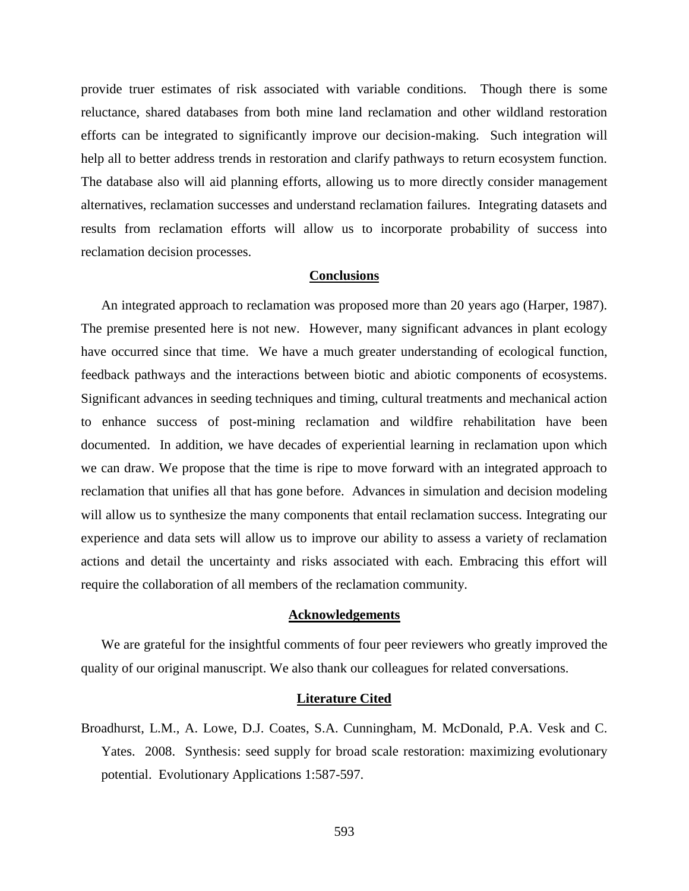provide truer estimates of risk associated with variable conditions. Though there is some reluctance, shared databases from both mine land reclamation and other wildland restoration efforts can be integrated to significantly improve our decision-making. Such integration will help all to better address trends in restoration and clarify pathways to return ecosystem function. The database also will aid planning efforts, allowing us to more directly consider management alternatives, reclamation successes and understand reclamation failures. Integrating datasets and results from reclamation efforts will allow us to incorporate probability of success into reclamation decision processes.

# **Conclusions**

An integrated approach to reclamation was proposed more than 20 years ago (Harper, 1987). The premise presented here is not new. However, many significant advances in plant ecology have occurred since that time. We have a much greater understanding of ecological function, feedback pathways and the interactions between biotic and abiotic components of ecosystems. Significant advances in seeding techniques and timing, cultural treatments and mechanical action to enhance success of post-mining reclamation and wildfire rehabilitation have been documented. In addition, we have decades of experiential learning in reclamation upon which we can draw. We propose that the time is ripe to move forward with an integrated approach to reclamation that unifies all that has gone before. Advances in simulation and decision modeling will allow us to synthesize the many components that entail reclamation success. Integrating our experience and data sets will allow us to improve our ability to assess a variety of reclamation actions and detail the uncertainty and risks associated with each. Embracing this effort will require the collaboration of all members of the reclamation community.

### **Acknowledgements**

We are grateful for the insightful comments of four peer reviewers who greatly improved the quality of our original manuscript. We also thank our colleagues for related conversations.

# **Literature Cited**

Broadhurst, L.M., A. Lowe, D.J. Coates, S.A. Cunningham, M. McDonald, P.A. Vesk and C. Yates. 2008. Synthesis: seed supply for broad scale restoration: maximizing evolutionary potential. Evolutionary Applications 1:587-597.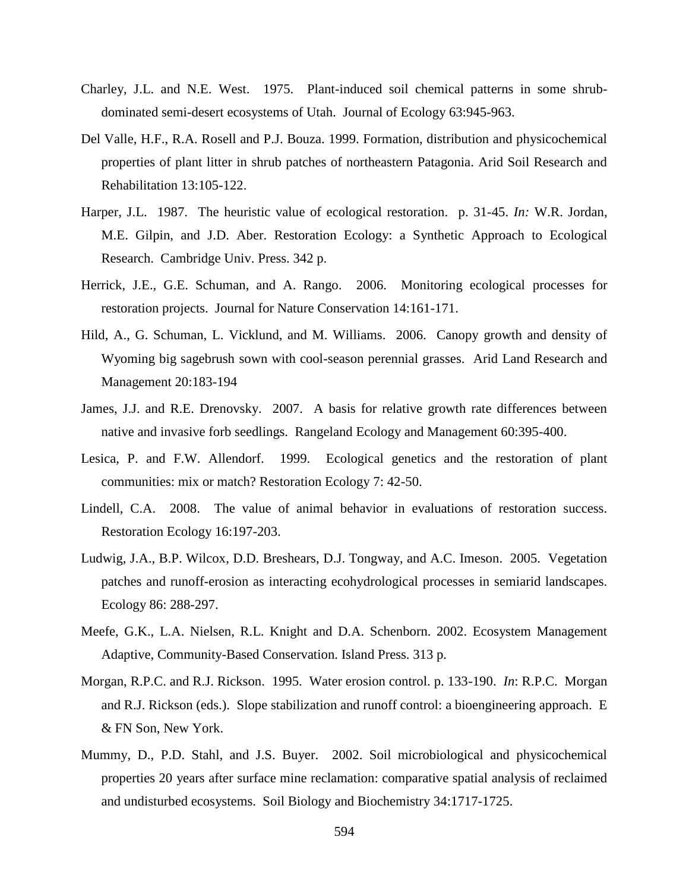- Charley, J.L. and N.E. West. 1975. Plant-induced soil chemical patterns in some shrubdominated semi-desert ecosystems of Utah. Journal of Ecology 63:945-963.
- Del Valle, H.F., R.A. Rosell and P.J. Bouza. 1999. Formation, distribution and physicochemical properties of plant litter in shrub patches of northeastern Patagonia. Arid Soil Research and Rehabilitation 13:105-122.
- Harper, J.L. 1987. The heuristic value of ecological restoration. p. 31-45. *In:* W.R. Jordan, M.E. Gilpin, and J.D. Aber. Restoration Ecology: a Synthetic Approach to Ecological Research. Cambridge Univ. Press. 342 p.
- Herrick, J.E., G.E. Schuman, and A. Rango. 2006. Monitoring ecological processes for restoration projects. Journal for Nature Conservation 14:161-171.
- Hild, A., G. Schuman, L. Vicklund, and M. Williams. 2006. Canopy growth and density of Wyoming big sagebrush sown with cool-season perennial grasses. Arid Land Research and Management 20:183-194
- James, J.J. and R.E. Drenovsky. 2007. A basis for relative growth rate differences between native and invasive forb seedlings. Rangeland Ecology and Management 60:395-400.
- Lesica, P. and F.W. Allendorf. 1999. Ecological genetics and the restoration of plant communities: mix or match? Restoration Ecology 7: 42-50.
- Lindell, C.A. 2008. The value of animal behavior in evaluations of restoration success. Restoration Ecology 16:197-203.
- Ludwig, J.A., B.P. Wilcox, D.D. Breshears, D.J. Tongway, and A.C. Imeson. 2005. Vegetation patches and runoff-erosion as interacting ecohydrological processes in semiarid landscapes. Ecology 86: 288-297.
- Meefe, G.K., L.A. Nielsen, R.L. Knight and D.A. Schenborn. 2002. Ecosystem Management Adaptive, Community-Based Conservation. Island Press. 313 p.
- Morgan, R.P.C. and R.J. Rickson. 1995. Water erosion control. p. 133-190. *In*: R.P.C. Morgan and R.J. Rickson (eds.). Slope stabilization and runoff control: a bioengineering approach. E & FN Son, New York.
- Mummy, D., P.D. Stahl, and J.S. Buyer. 2002. Soil microbiological and physicochemical properties 20 years after surface mine reclamation: comparative spatial analysis of reclaimed and undisturbed ecosystems. Soil Biology and Biochemistry 34:1717-1725.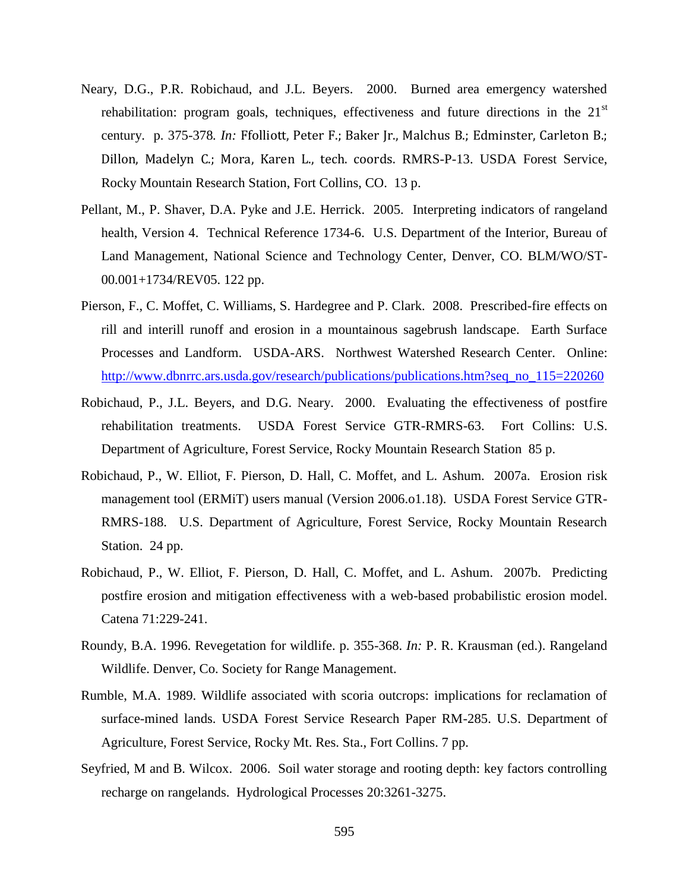- Neary, D.G., P.R. Robichaud, and J.L. Beyers. 2000. Burned area emergency watershed rehabilitation: program goals, techniques, effectiveness and future directions in the  $21<sup>st</sup>$ century. p. 375-378*. In:* Ffolliott, Peter F.; Baker Jr., Malchus B.; Edminster, Carleton B.; Dillon, Madelyn C.; Mora, Karen L., tech. coords. RMRS-P-13. USDA Forest Service, Rocky Mountain Research Station, Fort Collins, CO. 13 p.
- Pellant, M., P. Shaver, D.A. Pyke and J.E. Herrick. 2005. Interpreting indicators of rangeland health, Version 4. Technical Reference 1734-6. U.S. Department of the Interior, Bureau of Land Management, National Science and Technology Center, Denver, CO. BLM/WO/ST-00.001+1734/REV05. 122 pp.
- Pierson, F., C. Moffet, C. Williams, S. Hardegree and P. Clark. 2008. Prescribed-fire effects on rill and interill runoff and erosion in a mountainous sagebrush landscape. Earth Surface Processes and Landform. USDA-ARS. Northwest Watershed Research Center. Online: [http://www.dbnrrc.ars.usda.gov/research/publications/publications.htm?seq\\_no\\_115=220260](http://www.dbnrrc.ars.usda.gov/research/publications/publications.htm?seq_no_115=220260)
- Robichaud, P., J.L. Beyers, and D.G. Neary. 2000. Evaluating the effectiveness of postfire rehabilitation treatments. USDA Forest Service GTR-RMRS-63. Fort Collins: U.S. Department of Agriculture, Forest Service, Rocky Mountain Research Station 85 p.
- Robichaud, P., W. Elliot, F. Pierson, D. Hall, C. Moffet, and L. Ashum. 2007a. Erosion risk management tool (ERMiT) users manual (Version 2006.o1.18). USDA Forest Service GTR-RMRS-188. U.S. Department of Agriculture, Forest Service, Rocky Mountain Research Station. 24 pp.
- Robichaud, P., W. Elliot, F. Pierson, D. Hall, C. Moffet, and L. Ashum. 2007b. Predicting postfire erosion and mitigation effectiveness with a web-based probabilistic erosion model. Catena 71:229-241.
- Roundy, B.A. 1996. Revegetation for wildlife. p. 355-368. *In:* P. R. Krausman (ed.). Rangeland Wildlife. Denver, Co. Society for Range Management.
- Rumble, M.A. 1989. Wildlife associated with scoria outcrops: implications for reclamation of surface-mined lands. USDA Forest Service Research Paper RM-285. U.S. Department of Agriculture, Forest Service, Rocky Mt. Res. Sta., Fort Collins. 7 pp.
- Seyfried, M and B. Wilcox. 2006. Soil water storage and rooting depth: key factors controlling recharge on rangelands. Hydrological Processes 20:3261-3275.